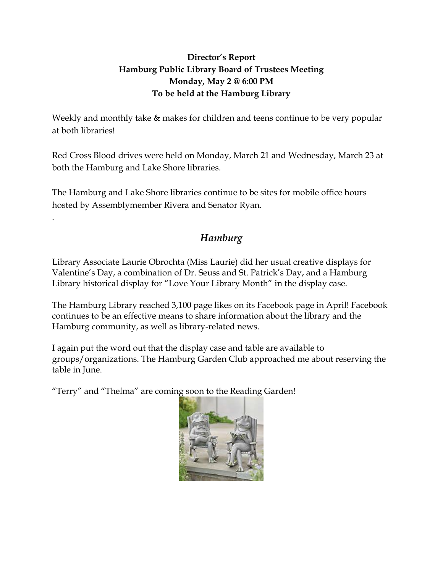## **Director's Report Hamburg Public Library Board of Trustees Meeting Monday, May 2 @ 6:00 PM To be held at the Hamburg Library**

Weekly and monthly take  $\&$  makes for children and teens continue to be very popular at both libraries!

Red Cross Blood drives were held on Monday, March 21 and Wednesday, March 23 at both the Hamburg and Lake Shore libraries.

The Hamburg and Lake Shore libraries continue to be sites for mobile office hours hosted by Assemblymember Rivera and Senator Ryan.

## *Hamburg*

Library Associate Laurie Obrochta (Miss Laurie) did her usual creative displays for Valentine's Day, a combination of Dr. Seuss and St. Patrick's Day, and a Hamburg Library historical display for "Love Your Library Month" in the display case.

The Hamburg Library reached 3,100 page likes on its Facebook page in April! Facebook continues to be an effective means to share information about the library and the Hamburg community, as well as library-related news.

I again put the word out that the display case and table are available to groups/organizations. The Hamburg Garden Club approached me about reserving the table in June.

"Terry" and "Thelma" are coming soon to the Reading Garden!

.

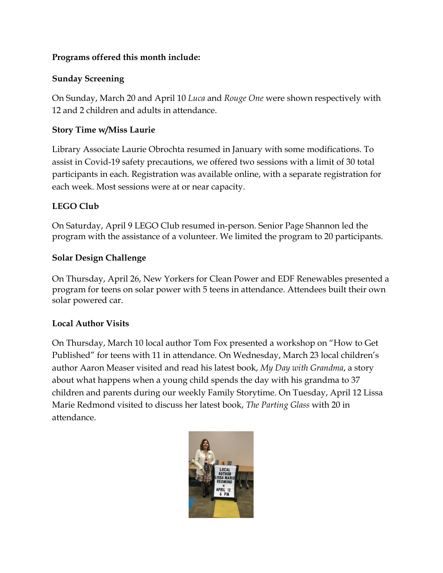## **Programs offered this month include:**

## **Sunday Screening**

On Sunday, March 20 and April 10 *Luca* and *Rouge One* were shown respectively with 12 and 2 children and adults in attendance.

## **Story Time w/Miss Laurie**

Library Associate Laurie Obrochta resumed in January with some modifications. To assist in Covid-19 safety precautions, we offered two sessions with a limit of 30 total participants in each. Registration was available online, with a separate registration for each week. Most sessions were at or near capacity.

## **LEGO Club**

On Saturday, April 9 LEGO Club resumed in-person. Senior Page Shannon led the program with the assistance of a volunteer. We limited the program to 20 participants.

## **Solar Design Challenge**

On Thursday, April 26, New Yorkers for Clean Power and EDF Renewables presented a program for teens on solar power with 5 teens in attendance. Attendees built their own solar powered car.

## **Local Author Visits**

On Thursday, March 10 local author Tom Fox presented a workshop on "How to Get Published" for teens with 11 in attendance. On Wednesday, March 23 local children's author Aaron Measer visited and read his latest book, *My Day with Grandma*, a story about what happens when a young child spends the day with his grandma to 37 children and parents during our weekly Family Storytime. On Tuesday, April 12 Lissa Marie Redmond visited to discuss her latest book, *The Parting Glass* with 20 in attendance.

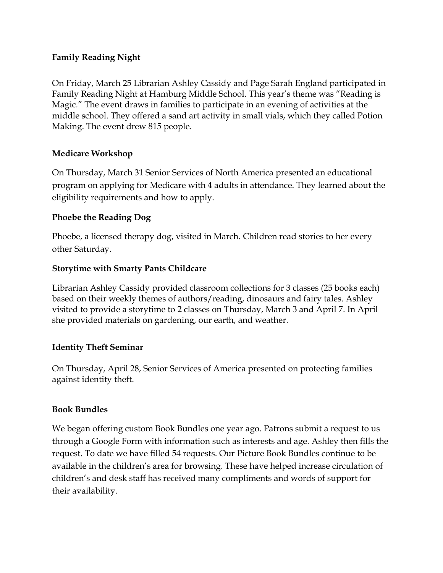## **Family Reading Night**

On Friday, March 25 Librarian Ashley Cassidy and Page Sarah England participated in Family Reading Night at Hamburg Middle School. This year's theme was "Reading is Magic." The event draws in families to participate in an evening of activities at the middle school. They offered a sand art activity in small vials, which they called Potion Making. The event drew 815 people.

## **Medicare Workshop**

On Thursday, March 31 Senior Services of North America presented an educational program on applying for Medicare with 4 adults in attendance. They learned about the eligibility requirements and how to apply.

## **Phoebe the Reading Dog**

Phoebe, a licensed therapy dog, visited in March. Children read stories to her every other Saturday.

#### **Storytime with Smarty Pants Childcare**

Librarian Ashley Cassidy provided classroom collections for 3 classes (25 books each) based on their weekly themes of authors/reading, dinosaurs and fairy tales. Ashley visited to provide a storytime to 2 classes on Thursday, March 3 and April 7. In April she provided materials on gardening, our earth, and weather.

#### **Identity Theft Seminar**

On Thursday, April 28, Senior Services of America presented on protecting families against identity theft.

#### **Book Bundles**

We began offering custom Book Bundles one year ago. Patrons submit a request to us through a Google Form with information such as interests and age. Ashley then fills the request. To date we have filled 54 requests. Our Picture Book Bundles continue to be available in the children's area for browsing. These have helped increase circulation of children's and desk staff has received many compliments and words of support for their availability.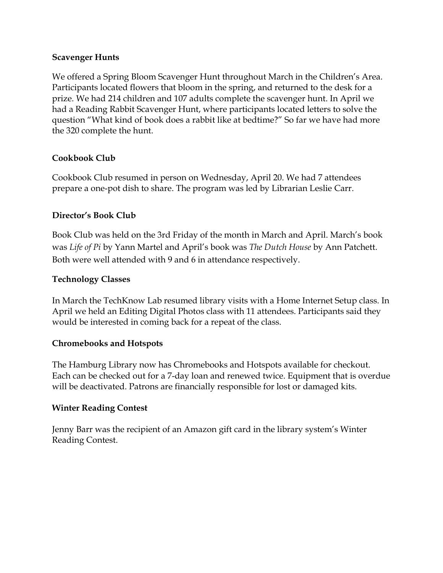#### **Scavenger Hunts**

We offered a Spring Bloom Scavenger Hunt throughout March in the Children's Area. Participants located flowers that bloom in the spring, and returned to the desk for a prize. We had 214 children and 107 adults complete the scavenger hunt. In April we had a Reading Rabbit Scavenger Hunt, where participants located letters to solve the question "What kind of book does a rabbit like at bedtime?" So far we have had more the 320 complete the hunt.

## **Cookbook Club**

Cookbook Club resumed in person on Wednesday, April 20. We had 7 attendees prepare a one-pot dish to share. The program was led by Librarian Leslie Carr.

## **Director's Book Club**

Book Club was held on the 3rd Friday of the month in March and April. March's book was *Life of Pi* by Yann Martel and April's book was *The Dutch House* by Ann Patchett. Both were well attended with 9 and 6 in attendance respectively.

## **Technology Classes**

In March the TechKnow Lab resumed library visits with a Home Internet Setup class. In April we held an Editing Digital Photos class with 11 attendees. Participants said they would be interested in coming back for a repeat of the class.

#### **Chromebooks and Hotspots**

The Hamburg Library now has Chromebooks and Hotspots available for checkout. Each can be checked out for a 7-day loan and renewed twice. Equipment that is overdue will be deactivated. Patrons are financially responsible for lost or damaged kits.

#### **Winter Reading Contest**

Jenny Barr was the recipient of an Amazon gift card in the library system's Winter Reading Contest.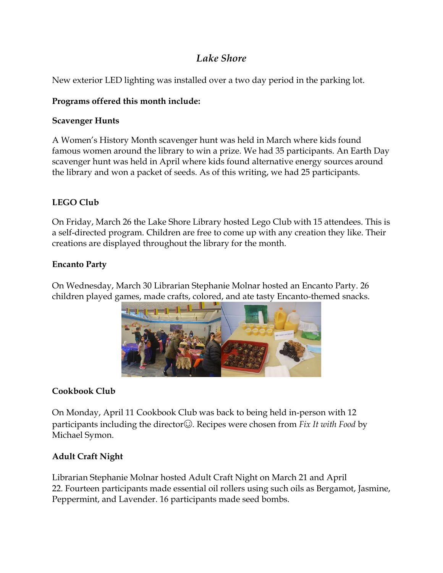## *Lake Shore*

New exterior LED lighting was installed over a two day period in the parking lot.

## **Programs offered this month include:**

## **Scavenger Hunts**

A Women's History Month scavenger hunt was held in March where kids found famous women around the library to win a prize. We had 35 participants. An Earth Day scavenger hunt was held in April where kids found alternative energy sources around the library and won a packet of seeds. As of this writing, we had 25 participants.

## **LEGO Club**

On Friday, March 26 the Lake Shore Library hosted Lego Club with 15 attendees. This is a self-directed program. Children are free to come up with any creation they like. Their creations are displayed throughout the library for the month.

## **Encanto Party**

On Wednesday, March 30 Librarian Stephanie Molnar hosted an Encanto Party. 26 children played games, made crafts, colored, and ate tasty Encanto-themed snacks.



## **Cookbook Club**

On Monday, April 11 Cookbook Club was back to being held in-person with 12 participants including the director☺. Recipes were chosen from *Fix It with Food* by Michael Symon.

## **Adult Craft Night**

Librarian Stephanie Molnar hosted Adult Craft Night on March 21 and April 22. Fourteen participants made essential oil rollers using such oils as Bergamot, Jasmine, Peppermint, and Lavender. 16 participants made seed bombs.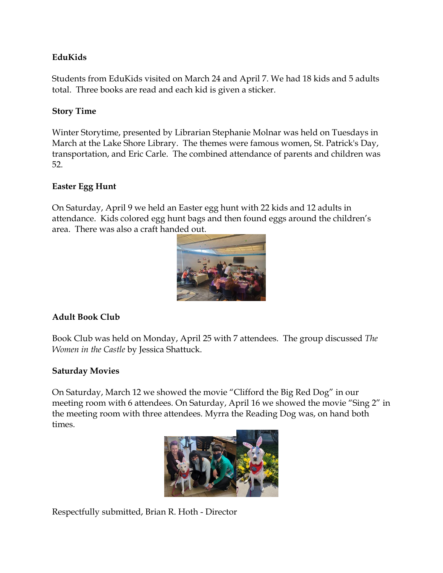## **EduKids**

Students from EduKids visited on March 24 and April 7. We had 18 kids and 5 adults total. Three books are read and each kid is given a sticker.

## **Story Time**

Winter Storytime, presented by Librarian Stephanie Molnar was held on Tuesdays in March at the Lake Shore Library. The themes were famous women, St. Patrick's Day, transportation, and Eric Carle. The combined attendance of parents and children was 52.

#### **Easter Egg Hunt**

On Saturday, April 9 we held an Easter egg hunt with 22 kids and 12 adults in attendance. Kids colored egg hunt bags and then found eggs around the children's area. There was also a craft handed out.



## **Adult Book Club**

Book Club was held on Monday, April 25 with 7 attendees. The group discussed *The Women in the Castle* by Jessica Shattuck.

#### **Saturday Movies**

On Saturday, March 12 we showed the movie "Clifford the Big Red Dog" in our meeting room with 6 attendees. On Saturday, April 16 we showed the movie "Sing 2" in the meeting room with three attendees. Myrra the Reading Dog was, on hand both times.



Respectfully submitted, Brian R. Hoth - Director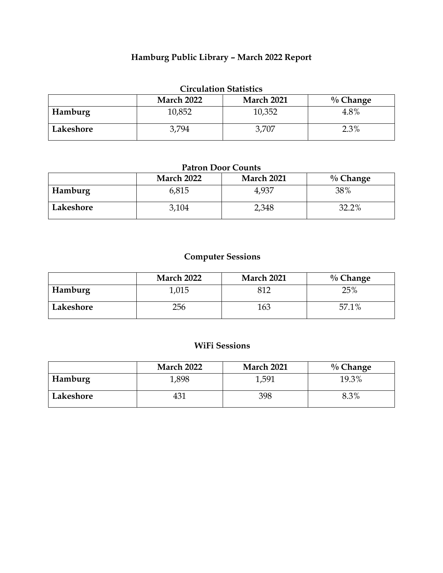## **Hamburg Public Library – March 2022 Report**

| <b>Circulation Statistics</b>                         |        |        |      |  |  |  |  |
|-------------------------------------------------------|--------|--------|------|--|--|--|--|
| <b>March 2022</b><br><b>March 2021</b><br>$\%$ Change |        |        |      |  |  |  |  |
| Hamburg                                               | 10,852 | 10,352 | 4.8% |  |  |  |  |
| Lakeshore                                             | 3.794  | 3,707  | 2.3% |  |  |  |  |

#### **Patron Door Counts**

|           | <b>March 2022</b> | <b>March 2021</b> | $\%$ Change |
|-----------|-------------------|-------------------|-------------|
| Hamburg   | 6,815             | 4,937             | 38%         |
| Lakeshore | 3,104             | 2,348             | 32.2%       |

## **Computer Sessions**

|           | <b>March 2022</b> | <b>March 2021</b> | $\%$ Change |
|-----------|-------------------|-------------------|-------------|
| Hamburg   | .015              | 812               | 25%         |
| Lakeshore | 256               | 163               | 57.1%       |

## **WiFi Sessions**

|           | <b>March 2022</b> | <b>March 2021</b> | $\%$ Change |
|-----------|-------------------|-------------------|-------------|
| Hamburg   | 1,898             | 1,591             | 19.3%       |
| Lakeshore | 431               | 398               | 8.3%        |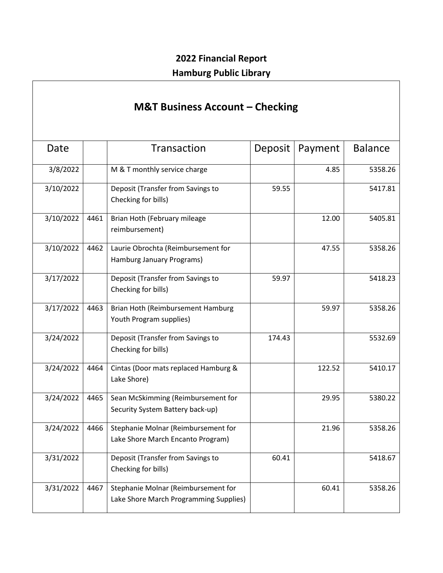## **2022 Financial Report Hamburg Public Library**

# **M&T Business Account – Checking**

| Date      |      | Transaction                                                                   | Deposit | Payment | <b>Balance</b> |
|-----------|------|-------------------------------------------------------------------------------|---------|---------|----------------|
| 3/8/2022  |      | M & T monthly service charge                                                  |         | 4.85    | 5358.26        |
| 3/10/2022 |      | Deposit (Transfer from Savings to<br>Checking for bills)                      | 59.55   |         | 5417.81        |
| 3/10/2022 | 4461 | Brian Hoth (February mileage<br>reimbursement)                                |         | 12.00   | 5405.81        |
| 3/10/2022 | 4462 | Laurie Obrochta (Reimbursement for<br>Hamburg January Programs)               |         | 47.55   | 5358.26        |
| 3/17/2022 |      | Deposit (Transfer from Savings to<br>Checking for bills)                      | 59.97   |         | 5418.23        |
| 3/17/2022 | 4463 | Brian Hoth (Reimbursement Hamburg<br>Youth Program supplies)                  |         | 59.97   | 5358.26        |
| 3/24/2022 |      | Deposit (Transfer from Savings to<br>Checking for bills)                      | 174.43  |         | 5532.69        |
| 3/24/2022 | 4464 | Cintas (Door mats replaced Hamburg &<br>Lake Shore)                           |         | 122.52  | 5410.17        |
| 3/24/2022 | 4465 | Sean McSkimming (Reimbursement for<br>Security System Battery back-up)        |         | 29.95   | 5380.22        |
| 3/24/2022 | 4466 | Stephanie Molnar (Reimbursement for<br>Lake Shore March Encanto Program)      |         | 21.96   | 5358.26        |
| 3/31/2022 |      | Deposit (Transfer from Savings to<br>Checking for bills)                      | 60.41   |         | 5418.67        |
| 3/31/2022 | 4467 | Stephanie Molnar (Reimbursement for<br>Lake Shore March Programming Supplies) |         | 60.41   | 5358.26        |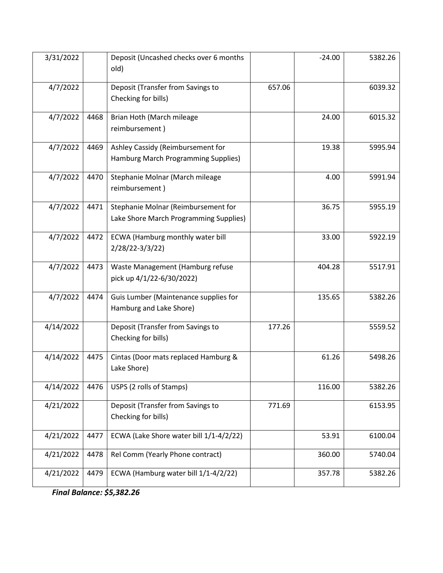| 3/31/2022 |      | Deposit (Uncashed checks over 6 months<br>old)                                |        | $-24.00$ | 5382.26 |
|-----------|------|-------------------------------------------------------------------------------|--------|----------|---------|
| 4/7/2022  |      | Deposit (Transfer from Savings to<br>Checking for bills)                      | 657.06 |          | 6039.32 |
| 4/7/2022  | 4468 | Brian Hoth (March mileage<br>reimbursement)                                   |        | 24.00    | 6015.32 |
| 4/7/2022  | 4469 | Ashley Cassidy (Reimbursement for<br>Hamburg March Programming Supplies)      |        | 19.38    | 5995.94 |
| 4/7/2022  | 4470 | Stephanie Molnar (March mileage<br>reimbursement)                             |        | 4.00     | 5991.94 |
| 4/7/2022  | 4471 | Stephanie Molnar (Reimbursement for<br>Lake Shore March Programming Supplies) |        | 36.75    | 5955.19 |
| 4/7/2022  | 4472 | ECWA (Hamburg monthly water bill<br>$2/28/22-3/3/22)$                         |        | 33.00    | 5922.19 |
| 4/7/2022  | 4473 | Waste Management (Hamburg refuse<br>pick up 4/1/22-6/30/2022)                 |        | 404.28   | 5517.91 |
| 4/7/2022  | 4474 | Guis Lumber (Maintenance supplies for<br>Hamburg and Lake Shore)              |        | 135.65   | 5382.26 |
| 4/14/2022 |      | Deposit (Transfer from Savings to<br>Checking for bills)                      | 177.26 |          | 5559.52 |
| 4/14/2022 | 4475 | Cintas (Door mats replaced Hamburg &<br>Lake Shore)                           |        | 61.26    | 5498.26 |
| 4/14/2022 | 4476 | USPS (2 rolls of Stamps)                                                      |        | 116.00   | 5382.26 |
| 4/21/2022 |      | Deposit (Transfer from Savings to<br>Checking for bills)                      | 771.69 |          | 6153.95 |
| 4/21/2022 | 4477 | ECWA (Lake Shore water bill 1/1-4/2/22)                                       |        | 53.91    | 6100.04 |
| 4/21/2022 | 4478 | Rel Comm (Yearly Phone contract)                                              |        | 360.00   | 5740.04 |
| 4/21/2022 | 4479 | ECWA (Hamburg water bill 1/1-4/2/22)                                          |        | 357.78   | 5382.26 |

*Final Balance: \$5,382.26*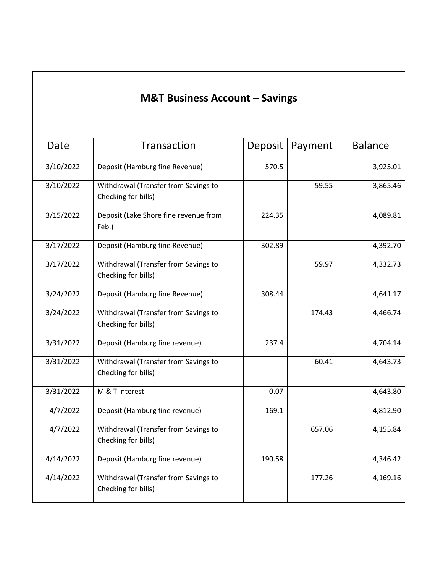# **M&T Business Account – Savings**

| Date      | Transaction                                                 | Deposit | Payment | <b>Balance</b> |
|-----------|-------------------------------------------------------------|---------|---------|----------------|
| 3/10/2022 | Deposit (Hamburg fine Revenue)                              | 570.5   |         | 3,925.01       |
| 3/10/2022 | Withdrawal (Transfer from Savings to<br>Checking for bills) |         | 59.55   | 3,865.46       |
| 3/15/2022 | Deposit (Lake Shore fine revenue from<br>Feb.)              | 224.35  |         | 4,089.81       |
| 3/17/2022 | Deposit (Hamburg fine Revenue)                              | 302.89  |         | 4,392.70       |
| 3/17/2022 | Withdrawal (Transfer from Savings to<br>Checking for bills) |         | 59.97   | 4,332.73       |
| 3/24/2022 | Deposit (Hamburg fine Revenue)                              | 308.44  |         | 4,641.17       |
| 3/24/2022 | Withdrawal (Transfer from Savings to<br>Checking for bills) |         | 174.43  | 4,466.74       |
| 3/31/2022 | Deposit (Hamburg fine revenue)                              | 237.4   |         | 4,704.14       |
| 3/31/2022 | Withdrawal (Transfer from Savings to<br>Checking for bills) |         | 60.41   | 4,643.73       |
| 3/31/2022 | M & T Interest                                              | 0.07    |         | 4,643.80       |
| 4/7/2022  | Deposit (Hamburg fine revenue)                              | 169.1   |         | 4,812.90       |
| 4/7/2022  | Withdrawal (Transfer from Savings to<br>Checking for bills) |         | 657.06  | 4,155.84       |
| 4/14/2022 | Deposit (Hamburg fine revenue)                              | 190.58  |         | 4,346.42       |
| 4/14/2022 | Withdrawal (Transfer from Savings to<br>Checking for bills) |         | 177.26  | 4,169.16       |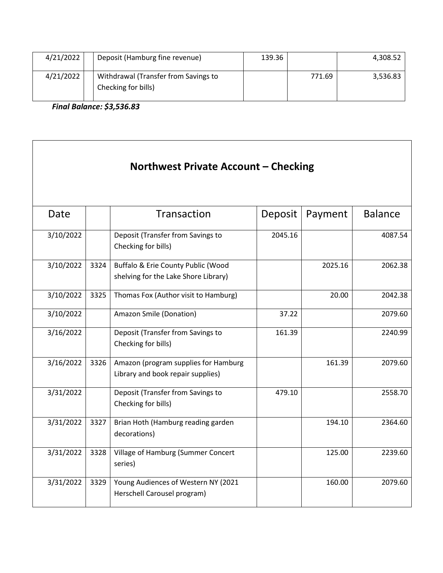| 4/21/2022 | Deposit (Hamburg fine revenue)                              | 139.36 |        | 4,308.52 |
|-----------|-------------------------------------------------------------|--------|--------|----------|
| 4/21/2022 | Withdrawal (Transfer from Savings to<br>Checking for bills) |        | 771.69 | 3,536.83 |

*Final Balance: \$3,536.83* 

| Northwest Private Account – Checking |      |                                                                            |         |         |                |
|--------------------------------------|------|----------------------------------------------------------------------------|---------|---------|----------------|
| Date                                 |      | Transaction                                                                | Deposit | Payment | <b>Balance</b> |
| 3/10/2022                            |      | Deposit (Transfer from Savings to<br>Checking for bills)                   | 2045.16 |         | 4087.54        |
| 3/10/2022                            | 3324 | Buffalo & Erie County Public (Wood<br>shelving for the Lake Shore Library) |         | 2025.16 | 2062.38        |
| 3/10/2022                            | 3325 | Thomas Fox (Author visit to Hamburg)                                       |         | 20.00   | 2042.38        |
| 3/10/2022                            |      | Amazon Smile (Donation)                                                    | 37.22   |         | 2079.60        |
| 3/16/2022                            |      | Deposit (Transfer from Savings to<br>Checking for bills)                   | 161.39  |         | 2240.99        |
| 3/16/2022                            | 3326 | Amazon (program supplies for Hamburg<br>Library and book repair supplies)  |         | 161.39  | 2079.60        |
| 3/31/2022                            |      | Deposit (Transfer from Savings to<br>Checking for bills)                   | 479.10  |         | 2558.70        |
| 3/31/2022                            | 3327 | Brian Hoth (Hamburg reading garden<br>decorations)                         |         | 194.10  | 2364.60        |
| 3/31/2022                            | 3328 | Village of Hamburg (Summer Concert<br>series)                              |         | 125.00  | 2239.60        |
| 3/31/2022                            | 3329 | Young Audiences of Western NY (2021<br>Herschell Carousel program)         |         | 160.00  | 2079.60        |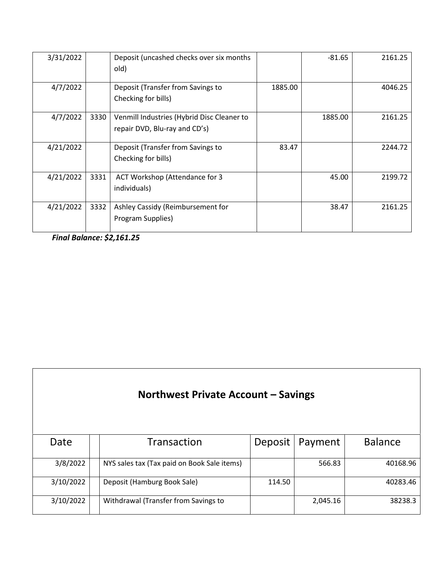| 3/31/2022 |      | Deposit (uncashed checks over six months<br>old)                            |         | $-81.65$ | 2161.25 |
|-----------|------|-----------------------------------------------------------------------------|---------|----------|---------|
| 4/7/2022  |      | Deposit (Transfer from Savings to<br>Checking for bills)                    | 1885.00 |          | 4046.25 |
| 4/7/2022  | 3330 | Venmill Industries (Hybrid Disc Cleaner to<br>repair DVD, Blu-ray and CD's) |         | 1885.00  | 2161.25 |
| 4/21/2022 |      | Deposit (Transfer from Savings to<br>Checking for bills)                    | 83.47   |          | 2244.72 |
| 4/21/2022 | 3331 | ACT Workshop (Attendance for 3<br>individuals)                              |         | 45.00    | 2199.72 |
| 4/21/2022 | 3332 | Ashley Cassidy (Reimbursement for<br>Program Supplies)                      |         | 38.47    | 2161.25 |

*Final Balance: \$2,161.25*

Г

| Northwest Private Account – Savings |  |                                             |         |          |                |
|-------------------------------------|--|---------------------------------------------|---------|----------|----------------|
| Date                                |  | Transaction                                 | Deposit | Payment  | <b>Balance</b> |
| 3/8/2022                            |  | NYS sales tax (Tax paid on Book Sale items) |         | 566.83   | 40168.96       |
| 3/10/2022                           |  | Deposit (Hamburg Book Sale)                 | 114.50  |          | 40283.46       |
| 3/10/2022                           |  | Withdrawal (Transfer from Savings to        |         | 2,045.16 | 38238.3        |